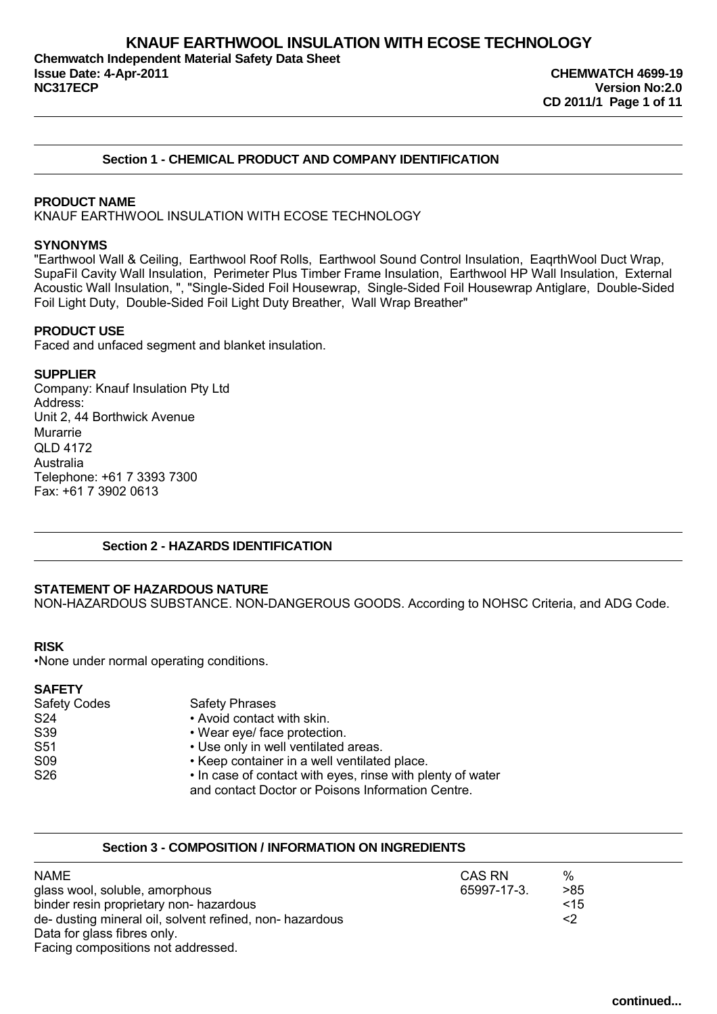## **Section 1 - CHEMICAL PRODUCT AND COMPANY IDENTIFICATION**

## **PRODUCT NAME**

KNAUF EARTHWOOL INSULATION WITH ECOSE TECHNOLOGY

#### **SYNONYMS**

"Earthwool Wall & Ceiling, Earthwool Roof Rolls, Earthwool Sound Control Insulation, EaqrthWool Duct Wrap, SupaFil Cavity Wall Insulation, Perimeter Plus Timber Frame Insulation, Earthwool HP Wall Insulation, External Acoustic Wall Insulation, ", "Single-Sided Foil Housewrap, Single-Sided Foil Housewrap Antiglare, Double-Sided Foil Light Duty, Double-Sided Foil Light Duty Breather, Wall Wrap Breather"

## **PRODUCT USE**

Faced and unfaced segment and blanket insulation.

### **SUPPLIER**

Company: Knauf Insulation Pty Ltd Address: Unit 2, 44 Borthwick Avenue Murarrie QLD 4172 Australia Telephone: +61 7 3393 7300 Fax: +61 7 3902 0613

## **Section 2 - HAZARDS IDENTIFICATION**

### **STATEMENT OF HAZARDOUS NATURE**

NON-HAZARDOUS SUBSTANCE. NON-DANGEROUS GOODS. According to NOHSC Criteria, and ADG Code.

### **RISK**

•None under normal operating conditions.

### **SAFETY**

| <b>Safety Codes</b> | <b>Safety Phrases</b>                                      |
|---------------------|------------------------------------------------------------|
| S24                 | • Avoid contact with skin.                                 |
| S39                 | • Wear eye/ face protection.                               |
| S51                 | • Use only in well ventilated areas.                       |
| S <sub>09</sub>     | • Keep container in a well ventilated place.               |
| S26                 | • In case of contact with eyes, rinse with plenty of water |
|                     | and contact Doctor or Poisons Information Centre.          |

## **Section 3 - COMPOSITION / INFORMATION ON INGREDIENTS**

| <b>NAME</b>                                              | CAS RN      | %   |  |
|----------------------------------------------------------|-------------|-----|--|
| glass wool, soluble, amorphous                           | 65997-17-3. | >85 |  |
| binder resin proprietary non- hazardous                  |             | ~15 |  |
| de- dusting mineral oil, solvent refined, non- hazardous |             | <2  |  |
| Data for glass fibres only.                              |             |     |  |
| Facing compositions not addressed.                       |             |     |  |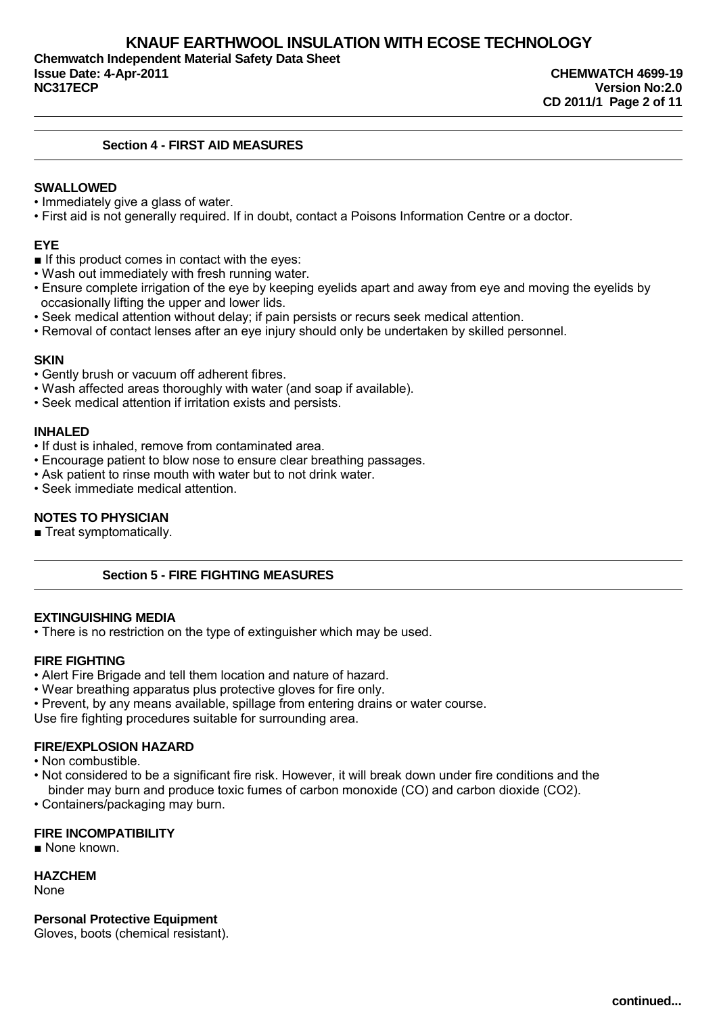**Chemwatch Independent Material Safety Data Sheet Issue Date: 4-Apr-2011 CHEMWATCH 4699-19 NC317ECP Version No:2.0**

## **Section 4 - FIRST AID MEASURES**

## **SWALLOWED**

- Immediately give a glass of water.
- First aid is not generally required. If in doubt, contact a Poisons Information Centre or a doctor.

## **EYE**

- If this product comes in contact with the eyes:
- Wash out immediately with fresh running water.
- Ensure complete irrigation of the eye by keeping eyelids apart and away from eye and moving the eyelids by occasionally lifting the upper and lower lids.
- Seek medical attention without delay; if pain persists or recurs seek medical attention.
- Removal of contact lenses after an eye injury should only be undertaken by skilled personnel.

### **SKIN**

- Gently brush or vacuum off adherent fibres.
- Wash affected areas thoroughly with water (and soap if available).
- Seek medical attention if irritation exists and persists.

## **INHALED**

- If dust is inhaled, remove from contaminated area.
- Encourage patient to blow nose to ensure clear breathing passages.
- Ask patient to rinse mouth with water but to not drink water.
- Seek immediate medical attention.

## **NOTES TO PHYSICIAN**

■ Treat symptomatically.

## **Section 5 - FIRE FIGHTING MEASURES**

### **EXTINGUISHING MEDIA**

• There is no restriction on the type of extinguisher which may be used.

## **FIRE FIGHTING**

- Alert Fire Brigade and tell them location and nature of hazard.
- Wear breathing apparatus plus protective gloves for fire only.
- Prevent, by any means available, spillage from entering drains or water course.

Use fire fighting procedures suitable for surrounding area.

## **FIRE/EXPLOSION HAZARD**

- Non combustible.
- Not considered to be a significant fire risk. However, it will break down under fire conditions and the binder may burn and produce toxic fumes of carbon monoxide (CO) and carbon dioxide (CO2).
- Containers/packaging may burn.

## **FIRE INCOMPATIBILITY**

■ None known.

## **HAZCHEM**

None

## **Personal Protective Equipment**

Gloves, boots (chemical resistant).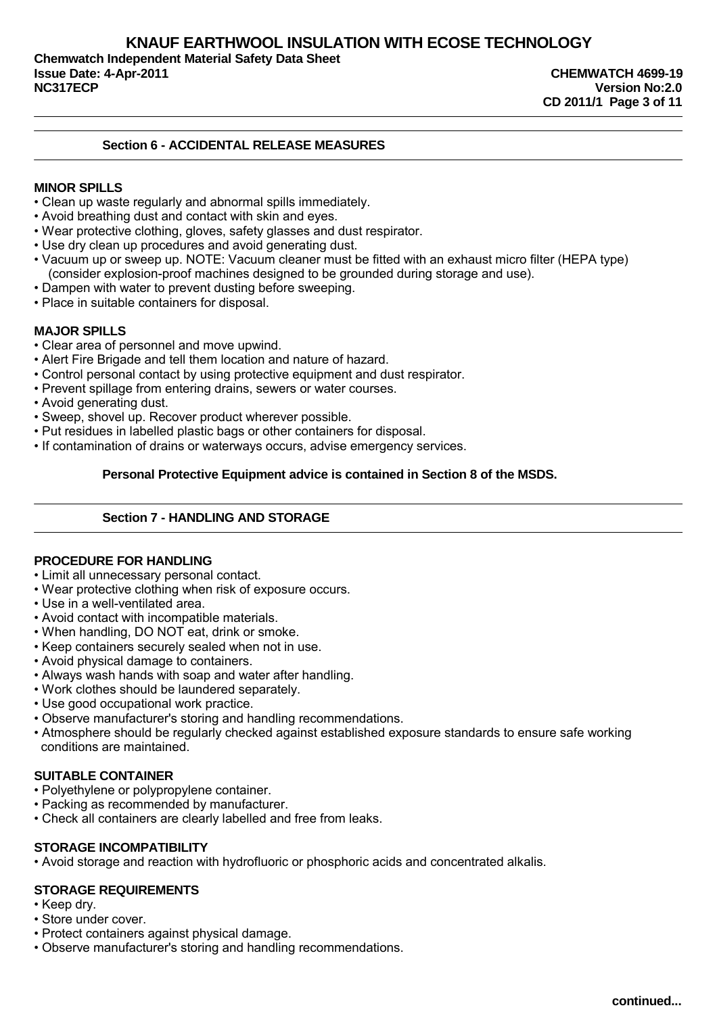## **KNAUF EARTHWOOL INSULATION WITH ECOSE TECHNOLOGY Chemwatch Independent Material Safety Data Sheet Issue Date: 4-Apr-2011 CHEMWATCH 4699-19 NC317ECP Version No:2.0**

**CD 2011/1 Page 3 of 11**

## **Section 6 - ACCIDENTAL RELEASE MEASURES**

## **MINOR SPILLS**

- Clean up waste regularly and abnormal spills immediately.
- Avoid breathing dust and contact with skin and eyes.
- Wear protective clothing, gloves, safety glasses and dust respirator.
- Use dry clean up procedures and avoid generating dust.
- Vacuum up or sweep up. NOTE: Vacuum cleaner must be fitted with an exhaust micro filter (HEPA type) (consider explosion-proof machines designed to be grounded during storage and use).
- Dampen with water to prevent dusting before sweeping.
- Place in suitable containers for disposal.

## **MAJOR SPILLS**

- Clear area of personnel and move upwind.
- Alert Fire Brigade and tell them location and nature of hazard.
- Control personal contact by using protective equipment and dust respirator.
- Prevent spillage from entering drains, sewers or water courses.
- Avoid generating dust.
- Sweep, shovel up. Recover product wherever possible.
- Put residues in labelled plastic bags or other containers for disposal.
- If contamination of drains or waterways occurs, advise emergency services.

## **Personal Protective Equipment advice is contained in Section 8 of the MSDS.**

## **Section 7 - HANDLING AND STORAGE**

### **PROCEDURE FOR HANDLING**

- Limit all unnecessary personal contact.
- Wear protective clothing when risk of exposure occurs.
- Use in a well-ventilated area.
- Avoid contact with incompatible materials.
- When handling, DO NOT eat, drink or smoke.
- Keep containers securely sealed when not in use.
- Avoid physical damage to containers.
- Always wash hands with soap and water after handling.
- Work clothes should be laundered separately.
- Use good occupational work practice.
- Observe manufacturer's storing and handling recommendations.
- Atmosphere should be regularly checked against established exposure standards to ensure safe working conditions are maintained.

## **SUITABLE CONTAINER**

- Polyethylene or polypropylene container.
- Packing as recommended by manufacturer.
- Check all containers are clearly labelled and free from leaks.

## **STORAGE INCOMPATIBILITY**

• Avoid storage and reaction with hydrofluoric or phosphoric acids and concentrated alkalis.

## **STORAGE REQUIREMENTS**

- Keep dry.
- Store under cover.
- Protect containers against physical damage.
- Observe manufacturer's storing and handling recommendations.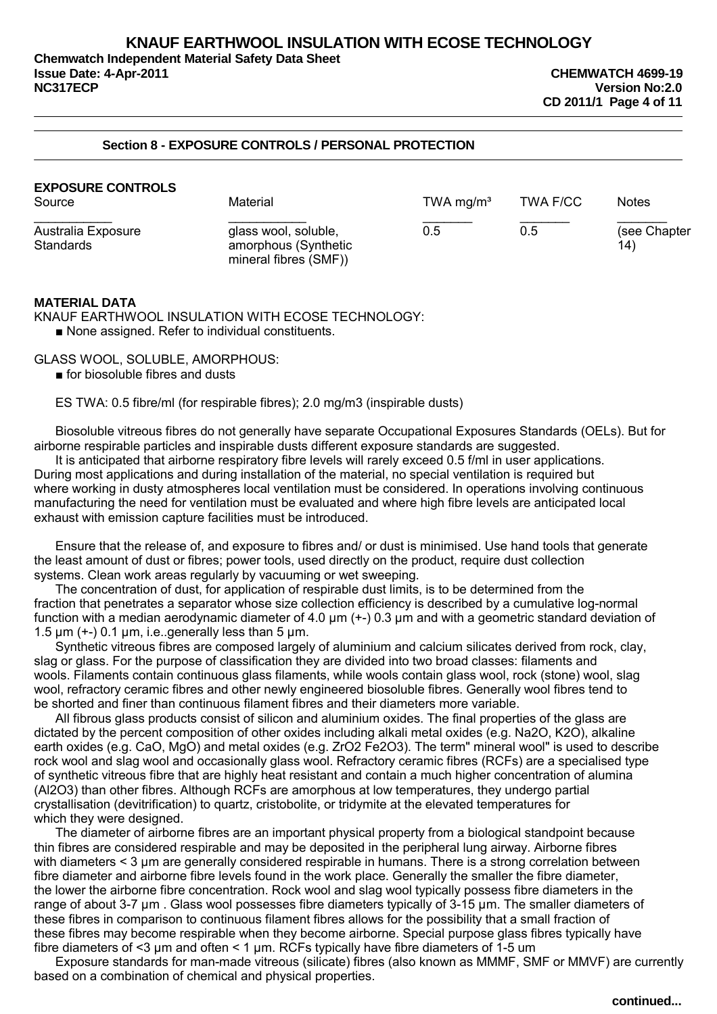**Chemwatch Independent Material Safety Data Sheet Issue Date: 4-Apr-2011 CHEMWATCH 4699-19 NC317ECP Version No:2.0**

## **Section 8 - EXPOSURE CONTROLS / PERSONAL PROTECTION**

| <b>EXPOSURE CONTROLS</b><br>Source | Material                                                              | TWA mg/m <sup>3</sup> | TWA F/CC | <b>Notes</b>        |
|------------------------------------|-----------------------------------------------------------------------|-----------------------|----------|---------------------|
| Australia Exposure<br>Standards    | glass wool, soluble,<br>amorphous (Synthetic<br>mineral fibres (SMF)) | 0.5                   | 0.5      | (see Chapter<br>14) |

### **MATERIAL DATA**

KNAUF EARTHWOOL INSULATION WITH ECOSE TECHNOLOGY: ■ None assigned. Refer to individual constituents.

GLASS WOOL, SOLUBLE, AMORPHOUS:

■ for biosoluble fibres and dusts

ES TWA: 0.5 fibre/ml (for respirable fibres); 2.0 mg/m3 (inspirable dusts)

Biosoluble vitreous fibres do not generally have separate Occupational Exposures Standards (OELs). But for airborne respirable particles and inspirable dusts different exposure standards are suggested.

It is anticipated that airborne respiratory fibre levels will rarely exceed 0.5 f/ml in user applications. During most applications and during installation of the material, no special ventilation is required but where working in dusty atmospheres local ventilation must be considered. In operations involving continuous manufacturing the need for ventilation must be evaluated and where high fibre levels are anticipated local exhaust with emission capture facilities must be introduced.

Ensure that the release of, and exposure to fibres and/ or dust is minimised. Use hand tools that generate the least amount of dust or fibres; power tools, used directly on the product, require dust collection systems. Clean work areas regularly by vacuuming or wet sweeping.

The concentration of dust, for application of respirable dust limits, is to be determined from the fraction that penetrates a separator whose size collection efficiency is described by a cumulative log-normal function with a median aerodynamic diameter of 4.0 um (+-) 0.3 um and with a geometric standard deviation of 1.5  $\mu$ m ( $+$ -) 0.1  $\mu$ m, i.e. generally less than 5  $\mu$ m.

Synthetic vitreous fibres are composed largely of aluminium and calcium silicates derived from rock, clay, slag or glass. For the purpose of classification they are divided into two broad classes: filaments and wools. Filaments contain continuous glass filaments, while wools contain glass wool, rock (stone) wool, slag wool, refractory ceramic fibres and other newly engineered biosoluble fibres. Generally wool fibres tend to be shorted and finer than continuous filament fibres and their diameters more variable.

All fibrous glass products consist of silicon and aluminium oxides. The final properties of the glass are dictated by the percent composition of other oxides including alkali metal oxides (e.g. Na2O, K2O), alkaline earth oxides (e.g. CaO, MgO) and metal oxides (e.g. ZrO2 Fe2O3). The term" mineral wool" is used to describe rock wool and slag wool and occasionally glass wool. Refractory ceramic fibres (RCFs) are a specialised type of synthetic vitreous fibre that are highly heat resistant and contain a much higher concentration of alumina (Al2O3) than other fibres. Although RCFs are amorphous at low temperatures, they undergo partial crystallisation (devitrification) to quartz, cristobolite, or tridymite at the elevated temperatures for which they were designed.

The diameter of airborne fibres are an important physical property from a biological standpoint because thin fibres are considered respirable and may be deposited in the peripheral lung airway. Airborne fibres with diameters < 3 µm are generally considered respirable in humans. There is a strong correlation between fibre diameter and airborne fibre levels found in the work place. Generally the smaller the fibre diameter, the lower the airborne fibre concentration. Rock wool and slag wool typically possess fibre diameters in the range of about 3-7 µm . Glass wool possesses fibre diameters typically of 3-15 µm. The smaller diameters of these fibres in comparison to continuous filament fibres allows for the possibility that a small fraction of these fibres may become respirable when they become airborne. Special purpose glass fibres typically have fibre diameters of <3  $\mu$ m and often < 1  $\mu$ m. RCFs typically have fibre diameters of 1-5  $\mu$ m

Exposure standards for man-made vitreous (silicate) fibres (also known as MMMF, SMF or MMVF) are currently based on a combination of chemical and physical properties.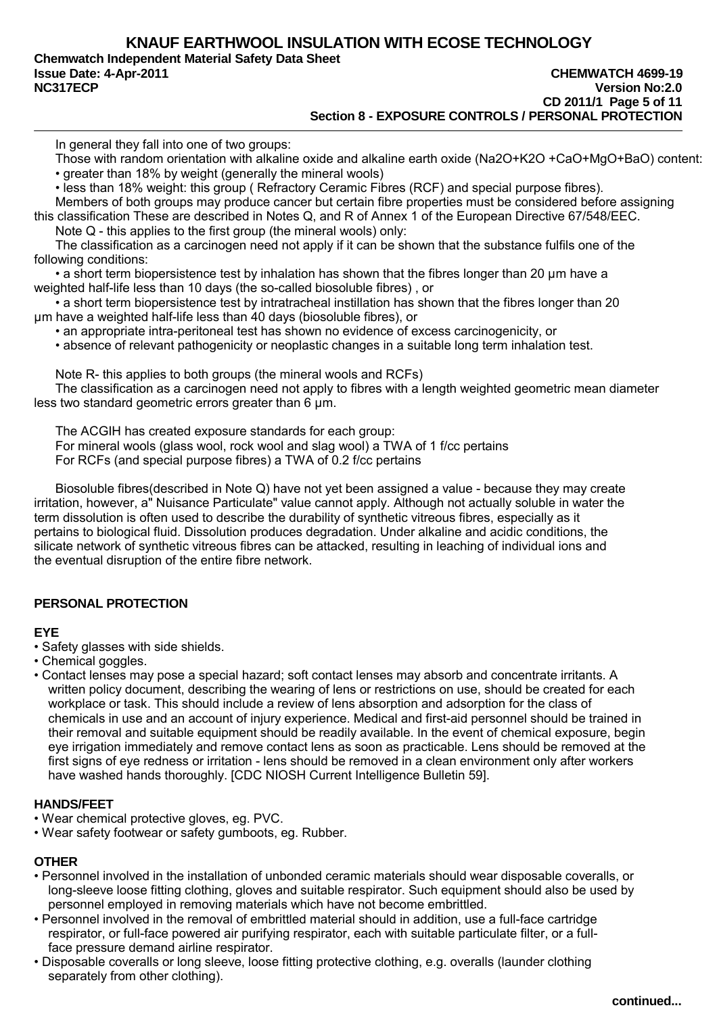**Chemwatch Independent Material Safety Data Sheet**

In general they fall into one of two groups:

Those with random orientation with alkaline oxide and alkaline earth oxide (Na2O+K2O +CaO+MgO+BaO) content: • greater than 18% by weight (generally the mineral wools)

• less than 18% weight: this group ( Refractory Ceramic Fibres (RCF) and special purpose fibres).

Members of both groups may produce cancer but certain fibre properties must be considered before assigning this classification These are described in Notes Q, and R of Annex 1 of the European Directive 67/548/EEC. Note Q - this applies to the first group (the mineral wools) only:

The classification as a carcinogen need not apply if it can be shown that the substance fulfils one of the following conditions:

• a short term biopersistence test by inhalation has shown that the fibres longer than 20 µm have a weighted half-life less than 10 days (the so-called biosoluble fibres) , or

• a short term biopersistence test by intratracheal instillation has shown that the fibres longer than 20 µm have a weighted half-life less than 40 days (biosoluble fibres), or

• an appropriate intra-peritoneal test has shown no evidence of excess carcinogenicity, or

• absence of relevant pathogenicity or neoplastic changes in a suitable long term inhalation test.

Note R- this applies to both groups (the mineral wools and RCFs)

The classification as a carcinogen need not apply to fibres with a length weighted geometric mean diameter less two standard geometric errors greater than 6 µm.

The ACGIH has created exposure standards for each group:

For mineral wools (glass wool, rock wool and slag wool) a TWA of 1 f/cc pertains

For RCFs (and special purpose fibres) a TWA of 0.2 f/cc pertains

Biosoluble fibres(described in Note Q) have not yet been assigned a value - because they may create irritation, however, a" Nuisance Particulate" value cannot apply. Although not actually soluble in water the term dissolution is often used to describe the durability of synthetic vitreous fibres, especially as it pertains to biological fluid. Dissolution produces degradation. Under alkaline and acidic conditions, the silicate network of synthetic vitreous fibres can be attacked, resulting in leaching of individual ions and the eventual disruption of the entire fibre network.

## **PERSONAL PROTECTION**

## **EYE**

- Safety glasses with side shields.
- Chemical goggles.
- Contact lenses may pose a special hazard; soft contact lenses may absorb and concentrate irritants. A written policy document, describing the wearing of lens or restrictions on use, should be created for each workplace or task. This should include a review of lens absorption and adsorption for the class of chemicals in use and an account of injury experience. Medical and first-aid personnel should be trained in their removal and suitable equipment should be readily available. In the event of chemical exposure, begin eye irrigation immediately and remove contact lens as soon as practicable. Lens should be removed at the first signs of eye redness or irritation - lens should be removed in a clean environment only after workers have washed hands thoroughly. [CDC NIOSH Current Intelligence Bulletin 59].

## **HANDS/FEET**

- Wear chemical protective gloves, eg. PVC.
- Wear safety footwear or safety gumboots, eg. Rubber.

## **OTHER**

- Personnel involved in the installation of unbonded ceramic materials should wear disposable coveralls, or long-sleeve loose fitting clothing, gloves and suitable respirator. Such equipment should also be used by personnel employed in removing materials which have not become embrittled.
- Personnel involved in the removal of embrittled material should in addition, use a full-face cartridge respirator, or full-face powered air purifying respirator, each with suitable particulate filter, or a fullface pressure demand airline respirator.
- Disposable coveralls or long sleeve, loose fitting protective clothing, e.g. overalls (launder clothing separately from other clothing).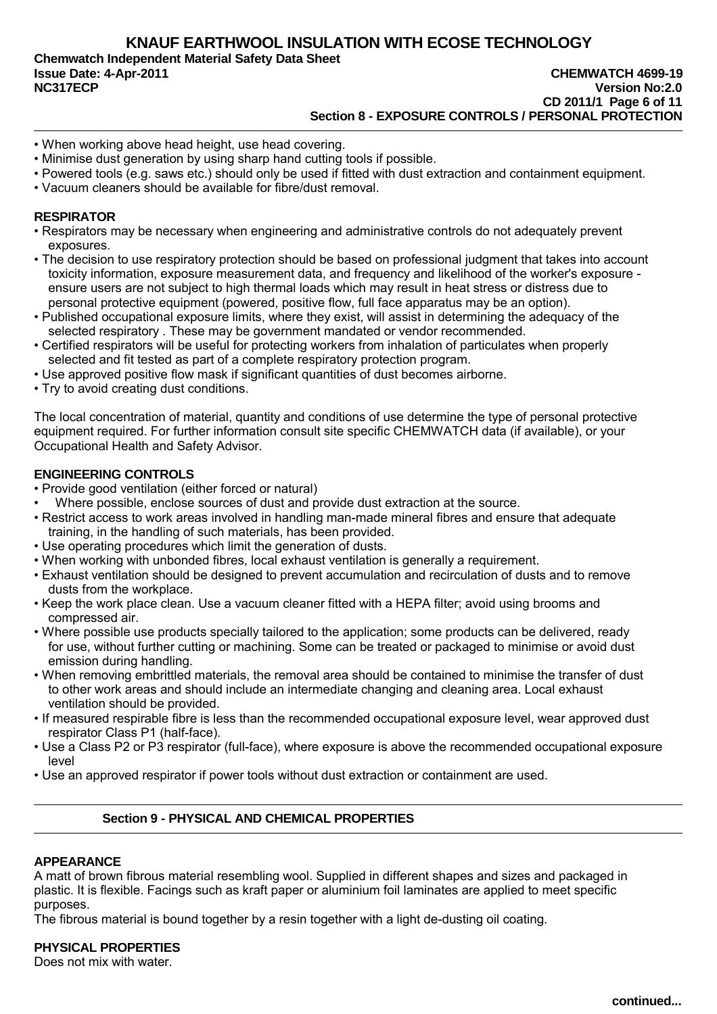**Chemwatch Independent Material Safety Data Sheet Issue Date: 4-Apr-2011 CHEMWATCH 4699-19** 

# **NC317ECP Version No:2.0 CD 2011/1 Page 6 of 11 Section 8 - EXPOSURE CONTROLS / PERSONAL PROTECTION**

- When working above head height, use head covering.
- Minimise dust generation by using sharp hand cutting tools if possible.
- Powered tools (e.g. saws etc.) should only be used if fitted with dust extraction and containment equipment.
- Vacuum cleaners should be available for fibre/dust removal.

## **RESPIRATOR**

- Respirators may be necessary when engineering and administrative controls do not adequately prevent exposures.
- The decision to use respiratory protection should be based on professional judgment that takes into account toxicity information, exposure measurement data, and frequency and likelihood of the worker's exposure ensure users are not subject to high thermal loads which may result in heat stress or distress due to personal protective equipment (powered, positive flow, full face apparatus may be an option).
- Published occupational exposure limits, where they exist, will assist in determining the adequacy of the selected respiratory . These may be government mandated or vendor recommended.
- Certified respirators will be useful for protecting workers from inhalation of particulates when properly selected and fit tested as part of a complete respiratory protection program.
- Use approved positive flow mask if significant quantities of dust becomes airborne.
- Try to avoid creating dust conditions.

The local concentration of material, quantity and conditions of use determine the type of personal protective equipment required. For further information consult site specific CHEMWATCH data (if available), or your Occupational Health and Safety Advisor.

## **ENGINEERING CONTROLS**

- Provide good ventilation (either forced or natural)
- Where possible, enclose sources of dust and provide dust extraction at the source.
- Restrict access to work areas involved in handling man-made mineral fibres and ensure that adequate training, in the handling of such materials, has been provided.
- Use operating procedures which limit the generation of dusts.
- When working with unbonded fibres, local exhaust ventilation is generally a requirement.
- Exhaust ventilation should be designed to prevent accumulation and recirculation of dusts and to remove dusts from the workplace.
- Keep the work place clean. Use a vacuum cleaner fitted with a HEPA filter; avoid using brooms and compressed air.
- Where possible use products specially tailored to the application; some products can be delivered, ready for use, without further cutting or machining. Some can be treated or packaged to minimise or avoid dust emission during handling.
- When removing embrittled materials, the removal area should be contained to minimise the transfer of dust to other work areas and should include an intermediate changing and cleaning area. Local exhaust ventilation should be provided.
- If measured respirable fibre is less than the recommended occupational exposure level, wear approved dust respirator Class P1 (half-face).
- Use a Class P2 or P3 respirator (full-face), where exposure is above the recommended occupational exposure level
- Use an approved respirator if power tools without dust extraction or containment are used.

## **Section 9 - PHYSICAL AND CHEMICAL PROPERTIES**

## **APPEARANCE**

A matt of brown fibrous material resembling wool. Supplied in different shapes and sizes and packaged in plastic. It is flexible. Facings such as kraft paper or aluminium foil laminates are applied to meet specific purposes.

The fibrous material is bound together by a resin together with a light de-dusting oil coating.

### **PHYSICAL PROPERTIES**

Does not mix with water.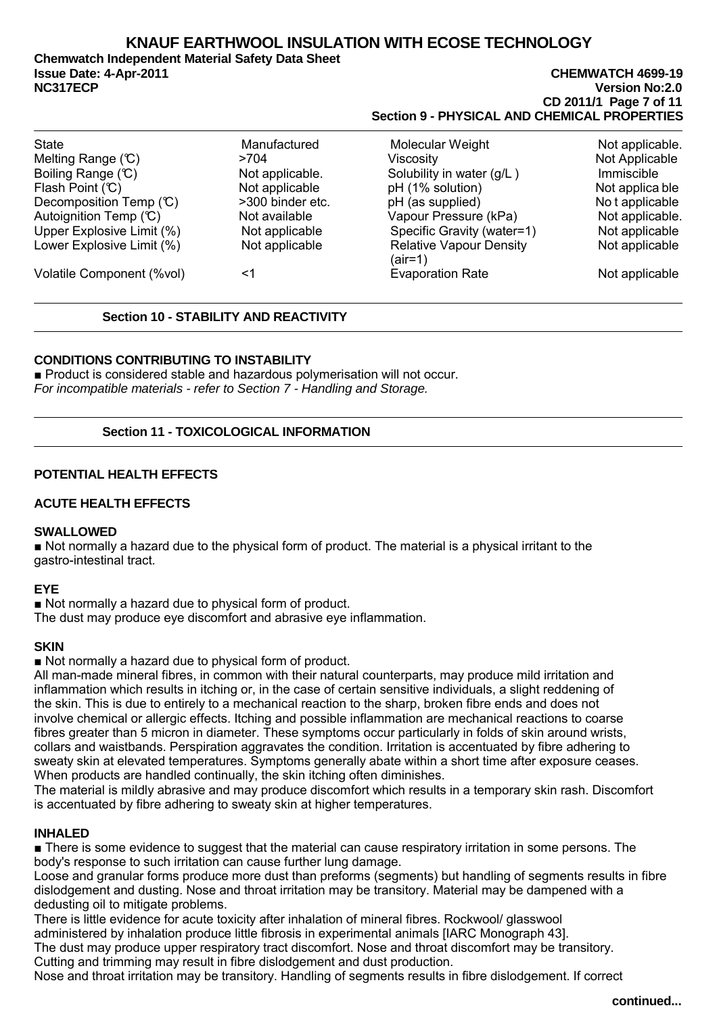**Chemwatch Independent Material Safety Data Sheet Issue Date: 4-Apr-2011 CHEMWATCH 4699-19** 

**NC317ECP Version No:2.0 CD 2011/1 Page 7 of 11 Section 9 - PHYSICAL AND CHEMICAL PROPERTIES**

| <b>State</b>                 | Manufactured     | Molecular Weight                            | Not applicable. |
|------------------------------|------------------|---------------------------------------------|-----------------|
| Melting Range $(\mathbb{C})$ | >704             | Viscosity                                   | Not Applicable  |
| Boiling Range (C)            | Not applicable.  | Solubility in water (g/L)                   | Immiscible      |
| Flash Point (C)              | Not applicable   | pH (1% solution)                            | Not applica ble |
| Decomposition Temp (°C)      | >300 binder etc. | pH (as supplied)                            | No t applicable |
| Autoignition Temp $(C)$      | Not available    | Vapour Pressure (kPa)                       | Not applicable. |
| Upper Explosive Limit (%)    | Not applicable   | Specific Gravity (water=1)                  | Not applicable  |
| Lower Explosive Limit (%)    | Not applicable   | <b>Relative Vapour Density</b><br>$(air=1)$ | Not applicable  |
| Volatile Component (%vol)    | <1               | <b>Evaporation Rate</b>                     | Not applicable  |

## **Section 10 - STABILITY AND REACTIVITY**

## **CONDITIONS CONTRIBUTING TO INSTABILITY**

■ Product is considered stable and hazardous polymerisation will not occur. For incompatible materials - refer to Section 7 - Handling and Storage.

## **Section 11 - TOXICOLOGICAL INFORMATION**

## **POTENTIAL HEALTH EFFECTS**

## **ACUTE HEALTH EFFECTS**

## **SWALLOWED**

■ Not normally a hazard due to the physical form of product. The material is a physical irritant to the gastro-intestinal tract.

## **EYE**

■ Not normally a hazard due to physical form of product.

The dust may produce eye discomfort and abrasive eye inflammation.

## **SKIN**

■ Not normally a hazard due to physical form of product.

All man-made mineral fibres, in common with their natural counterparts, may produce mild irritation and inflammation which results in itching or, in the case of certain sensitive individuals, a slight reddening of the skin. This is due to entirely to a mechanical reaction to the sharp, broken fibre ends and does not involve chemical or allergic effects. Itching and possible inflammation are mechanical reactions to coarse fibres greater than 5 micron in diameter. These symptoms occur particularly in folds of skin around wrists, collars and waistbands. Perspiration aggravates the condition. Irritation is accentuated by fibre adhering to sweaty skin at elevated temperatures. Symptoms generally abate within a short time after exposure ceases. When products are handled continually, the skin itching often diminishes.

The material is mildly abrasive and may produce discomfort which results in a temporary skin rash. Discomfort is accentuated by fibre adhering to sweaty skin at higher temperatures.

## **INHALED**

■ There is some evidence to suggest that the material can cause respiratory irritation in some persons. The body's response to such irritation can cause further lung damage.

Loose and granular forms produce more dust than preforms (segments) but handling of segments results in fibre dislodgement and dusting. Nose and throat irritation may be transitory. Material may be dampened with a dedusting oil to mitigate problems.

There is little evidence for acute toxicity after inhalation of mineral fibres. Rockwool/ glasswool administered by inhalation produce little fibrosis in experimental animals [IARC Monograph 43]. The dust may produce upper respiratory tract discomfort. Nose and throat discomfort may be transitory. Cutting and trimming may result in fibre dislodgement and dust production.

Nose and throat irritation may be transitory. Handling of segments results in fibre dislodgement. If correct

**continued...**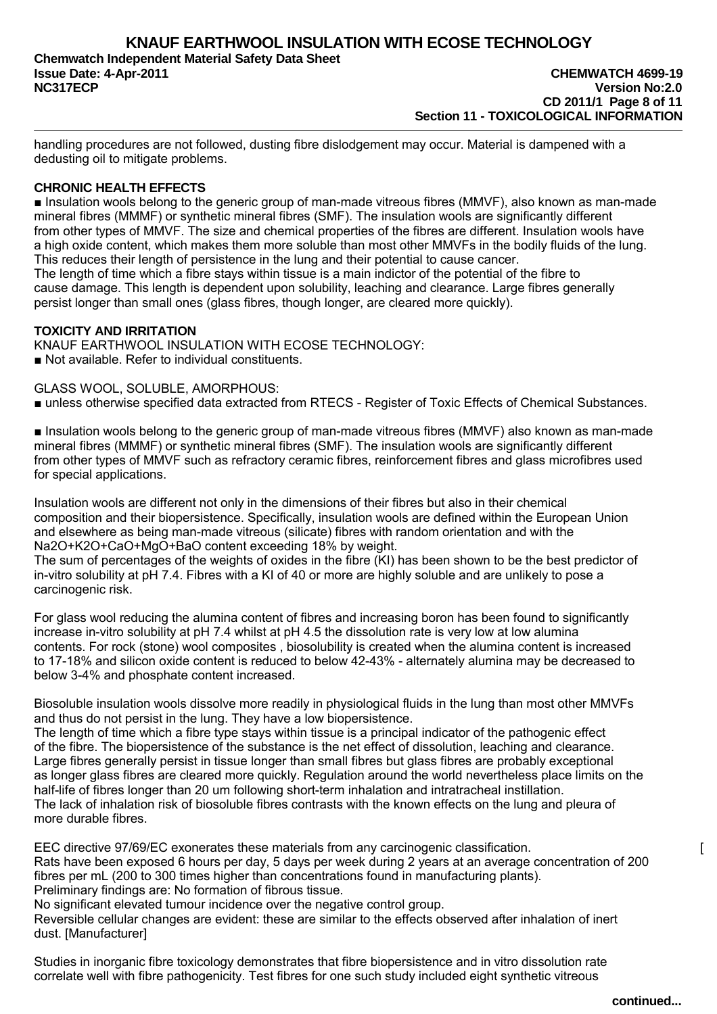**CD 2011/1 Page 8 of 11 Section 11 - TOXICOLOGICAL INFORMATION**

handling procedures are not followed, dusting fibre dislodgement may occur. Material is dampened with a dedusting oil to mitigate problems.

## **CHRONIC HEALTH EFFECTS**

■ Insulation wools belong to the generic group of man-made vitreous fibres (MMVF), also known as man-made mineral fibres (MMMF) or synthetic mineral fibres (SMF). The insulation wools are significantly different from other types of MMVF. The size and chemical properties of the fibres are different. Insulation wools have a high oxide content, which makes them more soluble than most other MMVFs in the bodily fluids of the lung. This reduces their length of persistence in the lung and their potential to cause cancer. The length of time which a fibre stays within tissue is a main indictor of the potential of the fibre to cause damage. This length is dependent upon solubility, leaching and clearance. Large fibres generally persist longer than small ones (glass fibres, though longer, are cleared more quickly).

## **TOXICITY AND IRRITATION**

KNAUF EARTHWOOL INSULATION WITH ECOSE TECHNOLOGY: ■ Not available. Refer to individual constituents.

GLASS WOOL, SOLUBLE, AMORPHOUS:

■ unless otherwise specified data extracted from RTECS - Register of Toxic Effects of Chemical Substances.

■ Insulation wools belong to the generic group of man-made vitreous fibres (MMVF) also known as man-made mineral fibres (MMMF) or synthetic mineral fibres (SMF). The insulation wools are significantly different from other types of MMVF such as refractory ceramic fibres, reinforcement fibres and glass microfibres used for special applications.

Insulation wools are different not only in the dimensions of their fibres but also in their chemical composition and their biopersistence. Specifically, insulation wools are defined within the European Union and elsewhere as being man-made vitreous (silicate) fibres with random orientation and with the Na2O+K2O+CaO+MgO+BaO content exceeding 18% by weight.

The sum of percentages of the weights of oxides in the fibre (KI) has been shown to be the best predictor of in-vitro solubility at pH 7.4. Fibres with a KI of 40 or more are highly soluble and are unlikely to pose a carcinogenic risk.

For glass wool reducing the alumina content of fibres and increasing boron has been found to significantly increase in-vitro solubility at pH 7.4 whilst at pH 4.5 the dissolution rate is very low at low alumina contents. For rock (stone) wool composites , biosolubility is created when the alumina content is increased to 17-18% and silicon oxide content is reduced to below 42-43% - alternately alumina may be decreased to below 3-4% and phosphate content increased.

Biosoluble insulation wools dissolve more readily in physiological fluids in the lung than most other MMVFs and thus do not persist in the lung. They have a low biopersistence.

The length of time which a fibre type stays within tissue is a principal indicator of the pathogenic effect of the fibre. The biopersistence of the substance is the net effect of dissolution, leaching and clearance. Large fibres generally persist in tissue longer than small fibres but glass fibres are probably exceptional as longer glass fibres are cleared more quickly. Regulation around the world nevertheless place limits on the half-life of fibres longer than 20 um following short-term inhalation and intratracheal instillation. The lack of inhalation risk of biosoluble fibres contrasts with the known effects on the lung and pleura of more durable fibres.

EEC directive 97/69/EC exonerates these materials from any carcinogenic classification. [ Rats have been exposed 6 hours per day, 5 days per week during 2 years at an average concentration of 200 fibres per mL (200 to 300 times higher than concentrations found in manufacturing plants). Preliminary findings are: No formation of fibrous tissue.

No significant elevated tumour incidence over the negative control group.

Reversible cellular changes are evident: these are similar to the effects observed after inhalation of inert dust. [Manufacturer]

Studies in inorganic fibre toxicology demonstrates that fibre biopersistence and in vitro dissolution rate correlate well with fibre pathogenicity. Test fibres for one such study included eight synthetic vitreous

**continued...**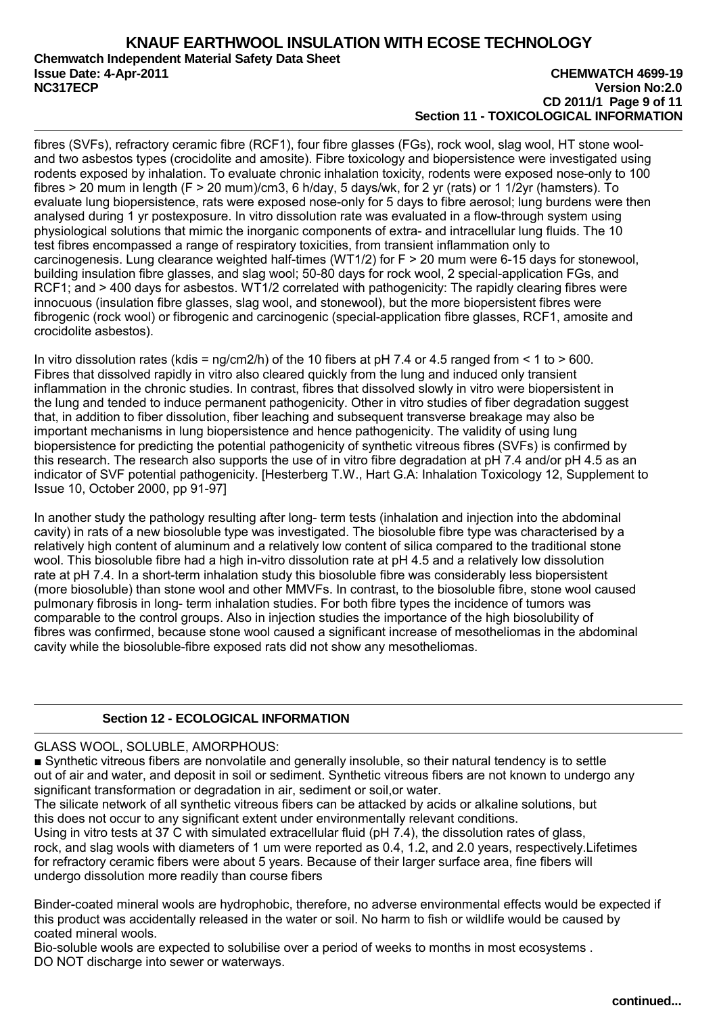## **KNAUF EARTHWOOL INSULATION WITH ECOSE TECHNOLOGY Chemwatch Independent Material Safety Data Sheet Issue Date: 4-Apr-2011 CHEMWATCH 4699-19 NC317ECP Version No:2.0**

# **CD 2011/1 Page 9 of 11 Section 11 - TOXICOLOGICAL INFORMATION**

fibres (SVFs), refractory ceramic fibre (RCF1), four fibre glasses (FGs), rock wool, slag wool, HT stone wooland two asbestos types (crocidolite and amosite). Fibre toxicology and biopersistence were investigated using rodents exposed by inhalation. To evaluate chronic inhalation toxicity, rodents were exposed nose-only to 100 fibres > 20 mum in length (F > 20 mum)/cm3, 6 h/day, 5 days/wk, for 2 yr (rats) or 1 1/2yr (hamsters). To evaluate lung biopersistence, rats were exposed nose-only for 5 days to fibre aerosol; lung burdens were then analysed during 1 yr postexposure. In vitro dissolution rate was evaluated in a flow-through system using physiological solutions that mimic the inorganic components of extra- and intracellular lung fluids. The 10 test fibres encompassed a range of respiratory toxicities, from transient inflammation only to carcinogenesis. Lung clearance weighted half-times (WT1/2) for F > 20 mum were 6-15 days for stonewool, building insulation fibre glasses, and slag wool; 50-80 days for rock wool, 2 special-application FGs, and RCF1; and > 400 days for asbestos. WT1/2 correlated with pathogenicity: The rapidly clearing fibres were innocuous (insulation fibre glasses, slag wool, and stonewool), but the more biopersistent fibres were fibrogenic (rock wool) or fibrogenic and carcinogenic (special-application fibre glasses, RCF1, amosite and crocidolite asbestos).

In vitro dissolution rates (kdis =  $nq/cm2/h$ ) of the 10 fibers at pH 7.4 or 4.5 ranged from < 1 to > 600. Fibres that dissolved rapidly in vitro also cleared quickly from the lung and induced only transient inflammation in the chronic studies. In contrast, fibres that dissolved slowly in vitro were biopersistent in the lung and tended to induce permanent pathogenicity. Other in vitro studies of fiber degradation suggest that, in addition to fiber dissolution, fiber leaching and subsequent transverse breakage may also be important mechanisms in lung biopersistence and hence pathogenicity. The validity of using lung biopersistence for predicting the potential pathogenicity of synthetic vitreous fibres (SVFs) is confirmed by this research. The research also supports the use of in vitro fibre degradation at pH 7.4 and/or pH 4.5 as an indicator of SVF potential pathogenicity. [Hesterberg T.W., Hart G.A: Inhalation Toxicology 12, Supplement to Issue 10, October 2000, pp 91-97]

In another study the pathology resulting after long- term tests (inhalation and injection into the abdominal cavity) in rats of a new biosoluble type was investigated. The biosoluble fibre type was characterised by a relatively high content of aluminum and a relatively low content of silica compared to the traditional stone wool. This biosoluble fibre had a high in-vitro dissolution rate at pH 4.5 and a relatively low dissolution rate at pH 7.4. In a short-term inhalation study this biosoluble fibre was considerably less biopersistent rate at pH 7.4. In a short-term inhalation study this biosoluble fibre was considerably less biopersistent (more biosoluble) than stone wool and other MMVFs. In contrast, to the biosoluble fibre, stone wool caused pulmonary fibrosis in long- term inhalation studies. For both fibre types the incidence of tumors was comparable to the control groups. Also in injection studies the importance of the high biosolubility of fibres was confirmed, because stone wool caused a significant increase of mesotheliomas in the abdominal cavity while the biosoluble-fibre exposed rats did not show any mesotheliomas.

## **Section 12 - ECOLOGICAL INFORMATION**

GLASS WOOL, SOLUBLE, AMORPHOUS:

■ Synthetic vitreous fibers are nonvolatile and generally insoluble, so their natural tendency is to settle out of air and water, and deposit in soil or sediment. Synthetic vitreous fibers are not known to undergo any significant transformation or degradation in air, sediment or soil,or water.

The silicate network of all synthetic vitreous fibers can be attacked by acids or alkaline solutions, but this does not occur to any significant extent under environmentally relevant conditions.

Using in vitro tests at 37 C with simulated extracellular fluid (pH 7.4), the dissolution rates of glass, rock, and slag wools with diameters of 1 um were reported as 0.4, 1.2, and 2.0 years, respectively.Lifetimes for refractory ceramic fibers were about 5 years. Because of their larger surface area, fine fibers will undergo dissolution more readily than course fibers

Binder-coated mineral wools are hydrophobic, therefore, no adverse environmental effects would be expected if this product was accidentally released in the water or soil. No harm to fish or wildlife would be caused by coated mineral wools.

Bio-soluble wools are expected to solubilise over a period of weeks to months in most ecosystems . DO NOT discharge into sewer or waterways.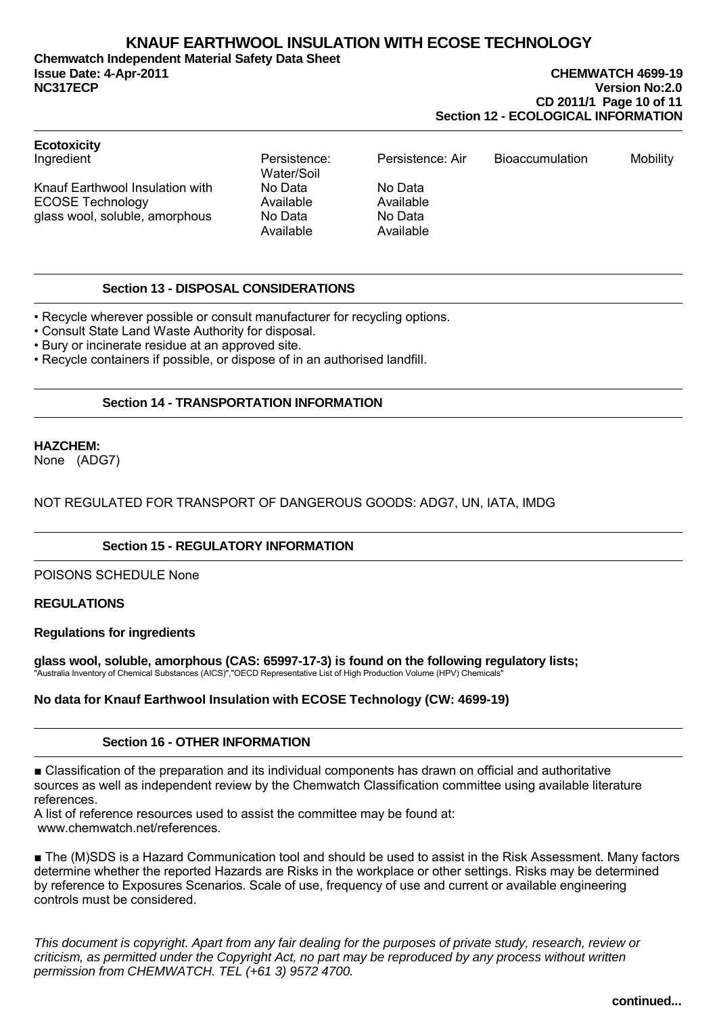**Chemwatch Independent Material Safety Data Sheet Issue Date: 4-Apr-2011 CHEMWATCH 4699-19 NC317ECP Version No:2.0**

# **CD 2011/1 Page 10 of 11 Section 12 - ECOLOGICAL INFORMATION**

| <b>Ecotoxicity</b>                                                                           |                                              |                                              |                        |          |
|----------------------------------------------------------------------------------------------|----------------------------------------------|----------------------------------------------|------------------------|----------|
| Ingredient                                                                                   | Persistence:<br>Water/Soil                   | Persistence: Air                             | <b>Bioaccumulation</b> | Mobility |
| Knauf Earthwool Insulation with<br><b>ECOSE Technology</b><br>glass wool, soluble, amorphous | No Data<br>Available<br>No Data<br>Available | No Data<br>Available<br>No Data<br>Available |                        |          |

## **Section 13 - DISPOSAL CONSIDERATIONS**

• Recycle wherever possible or consult manufacturer for recycling options.

• Consult State Land Waste Authority for disposal.

• Bury or incinerate residue at an approved site.

• Recycle containers if possible, or dispose of in an authorised landfill.

## **Section 14 - TRANSPORTATION INFORMATION**

## **HAZCHEM:**

None (ADG7)

## NOT REGULATED FOR TRANSPORT OF DANGEROUS GOODS: ADG7, UN, IATA, IMDG

## **Section 15 - REGULATORY INFORMATION**

POISONS SCHEDULE None

## **REGULATIONS**

### **Regulations for ingredients**

**glass wool, soluble, amorphous (CAS: 65997-17-3) is found on the following regulatory lists;** "Australia Inventory of Chemical Substances (AICS)","OECD Representative List of High Production Volume (HPV) Chemicals"

## **No data for Knauf Earthwool Insulation with ECOSE Technology (CW: 4699-19)**

## **Section 16 - OTHER INFORMATION**

■ Classification of the preparation and its individual components has drawn on official and authoritative sources as well as independent review by the Chemwatch Classification committee using available literature references.

A list of reference resources used to assist the committee may be found at: www.chemwatch.net/references.

■ The (M)SDS is a Hazard Communication tool and should be used to assist in the Risk Assessment. Many factors determine whether the reported Hazards are Risks in the workplace or other settings. Risks may be determined by reference to Exposures Scenarios. Scale of use, frequency of use and current or available engineering controls must be considered.

This document is copyright. Apart from any fair dealing for the purposes of private study, research, review or criticism, as permitted under the Copyright Act, no part may be reproduced by any process without written permission from CHEMWATCH. TEL (+61 3) 9572 4700.

**continued...**